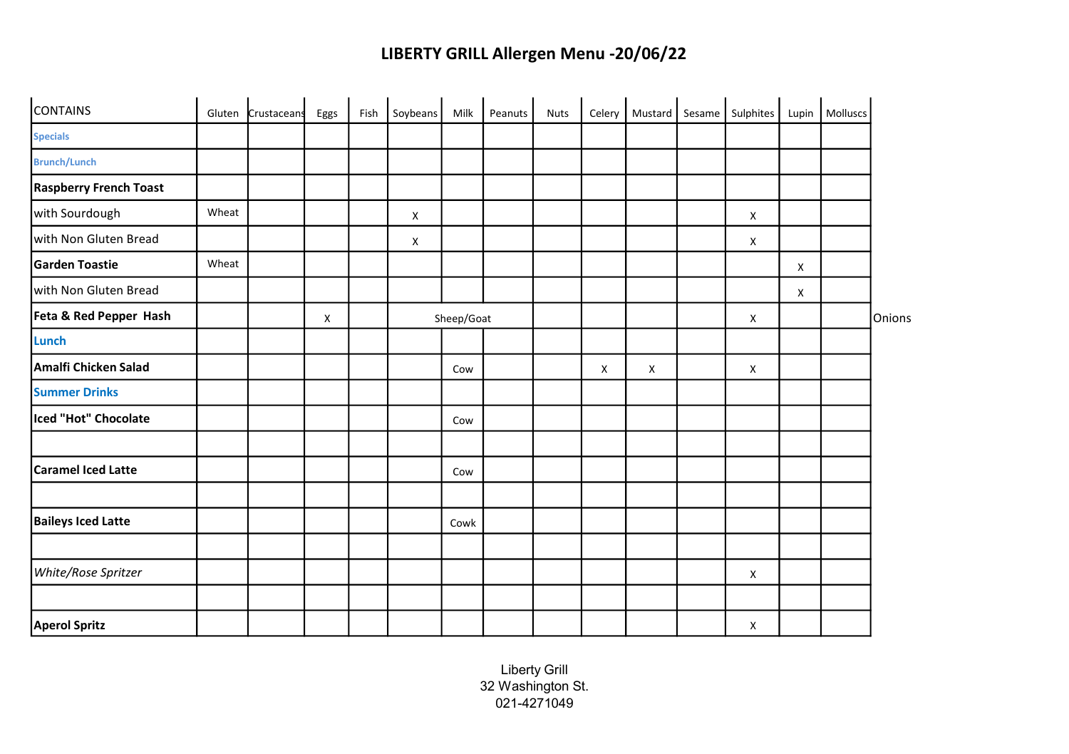| CONTAINS                      | Gluten | Crustaceans | Eggs | Fish | Soybeans     | Milk       | Peanuts | <b>Nuts</b> | Celery       | Mustard | Sesame | <b>Sulphites</b> | Lupin | Molluscs |        |
|-------------------------------|--------|-------------|------|------|--------------|------------|---------|-------------|--------------|---------|--------|------------------|-------|----------|--------|
| <b>Specials</b>               |        |             |      |      |              |            |         |             |              |         |        |                  |       |          |        |
| <b>Brunch/Lunch</b>           |        |             |      |      |              |            |         |             |              |         |        |                  |       |          |        |
| <b>Raspberry French Toast</b> |        |             |      |      |              |            |         |             |              |         |        |                  |       |          |        |
| with Sourdough                | Wheat  |             |      |      | $\mathsf{x}$ |            |         |             |              |         |        | X                |       |          |        |
| with Non Gluten Bread         |        |             |      |      | X            |            |         |             |              |         |        | X                |       |          |        |
| <b>Garden Toastie</b>         | Wheat  |             |      |      |              |            |         |             |              |         |        |                  | X     |          |        |
| with Non Gluten Bread         |        |             |      |      |              |            |         |             |              |         |        |                  | X     |          |        |
| Feta & Red Pepper Hash        |        |             | X    |      |              | Sheep/Goat |         |             |              |         |        | X                |       |          | Onions |
| Lunch                         |        |             |      |      |              |            |         |             |              |         |        |                  |       |          |        |
| Amalfi Chicken Salad          |        |             |      |      |              | Cow        |         |             | $\mathsf{X}$ | X       |        | $\mathsf{x}$     |       |          |        |
| <b>Summer Drinks</b>          |        |             |      |      |              |            |         |             |              |         |        |                  |       |          |        |
| Iced "Hot" Chocolate          |        |             |      |      |              | Cow        |         |             |              |         |        |                  |       |          |        |
| Carame  Iced Latte            |        |             |      |      |              | Cow        |         |             |              |         |        |                  |       |          |        |
| <b>Baileys Iced Latte</b>     |        |             |      |      |              | Cowk       |         |             |              |         |        |                  |       |          |        |
| White/Rose Spritzer           |        |             |      |      |              |            |         |             |              |         |        | X                |       |          |        |
|                               |        |             |      |      |              |            |         |             |              |         |        |                  |       |          |        |
| <b>Aperol Spritz</b>          |        |             |      |      |              |            |         |             |              |         |        | X                |       |          |        |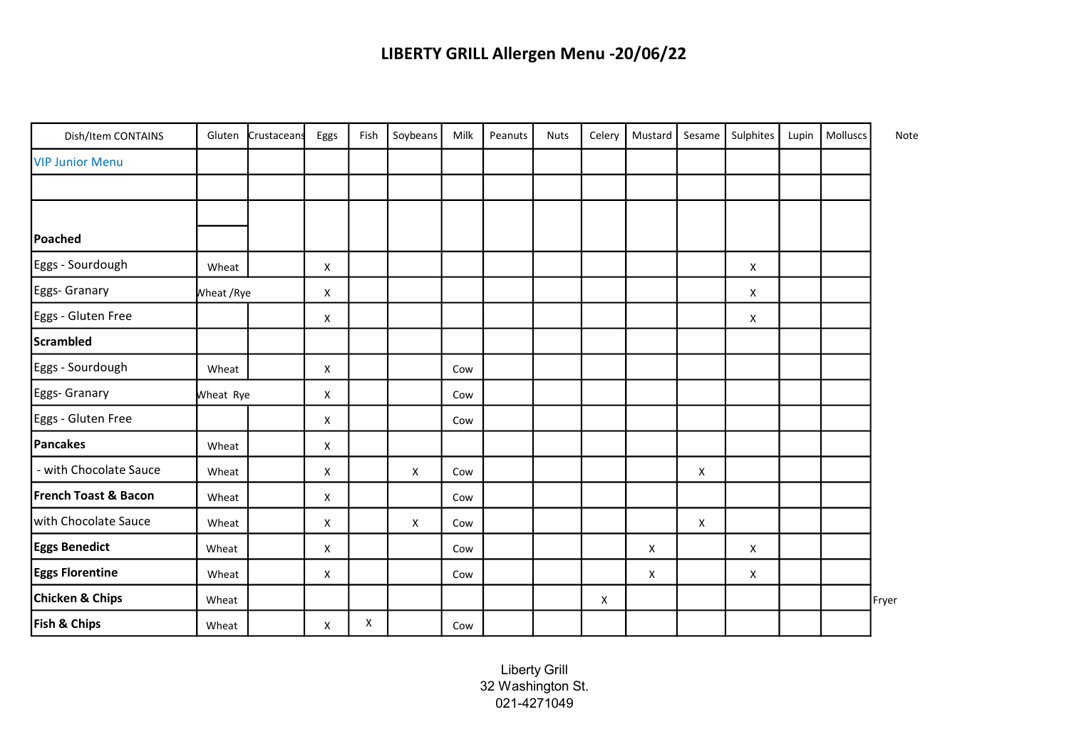| Dish/Item CONTAINS     | Gluten     | Crustaceans | Eggs | Fish | Soybeans | Milk | Peanuts | <b>Nuts</b> | Celery | Mustard | Sesame | Sulphites | Lupin | Molluscs | Note  |
|------------------------|------------|-------------|------|------|----------|------|---------|-------------|--------|---------|--------|-----------|-------|----------|-------|
| <b>VIP Junior Menu</b> |            |             |      |      |          |      |         |             |        |         |        |           |       |          |       |
|                        |            |             |      |      |          |      |         |             |        |         |        |           |       |          |       |
|                        |            |             |      |      |          |      |         |             |        |         |        |           |       |          |       |
| Poached                |            |             |      |      |          |      |         |             |        |         |        |           |       |          |       |
| Eggs - Sourdough       | Wheat      |             | Χ    |      |          |      |         |             |        |         |        | X         |       |          |       |
| Eggs- Granary          | Wheat /Rye |             | X    |      |          |      |         |             |        |         |        | X         |       |          |       |
| Eggs - Gluten Free     |            |             | X    |      |          |      |         |             |        |         |        | X         |       |          |       |
| Scrambled              |            |             |      |      |          |      |         |             |        |         |        |           |       |          |       |
| Eggs - Sourdough       | Wheat      |             | X    |      |          | Cow  |         |             |        |         |        |           |       |          |       |
| Eggs- Granary          | Wheat Rye  |             | X    |      |          | Cow  |         |             |        |         |        |           |       |          |       |
| Eggs - Gluten Free     |            |             | X    |      |          | Cow  |         |             |        |         |        |           |       |          |       |
| <b>Pancakes</b>        | Wheat      |             | X    |      |          |      |         |             |        |         |        |           |       |          |       |
| - with Chocolate Sauce | Wheat      |             | X    |      | X        | Cow  |         |             |        |         | X      |           |       |          |       |
| French Toast & Bacon   | Wheat      |             | X    |      |          | Cow  |         |             |        |         |        |           |       |          |       |
| with Chocolate Sauce   | Wheat      |             | X    |      | X        | Cow  |         |             |        |         | X      |           |       |          |       |
| <b>Eggs Benedict</b>   | Wheat      |             | X    |      |          | Cow  |         |             |        | X       |        | X         |       |          |       |
| <b>Eggs Florentine</b> | Wheat      |             | X    |      |          | Cow  |         |             |        | X       |        | X         |       |          |       |
| Chicken & Chips        | Wheat      |             |      |      |          |      |         |             | X      |         |        |           |       |          | Fryer |
| Fish & Chips           | Wheat      |             | X    | X    |          | Cow  |         |             |        |         |        |           |       |          |       |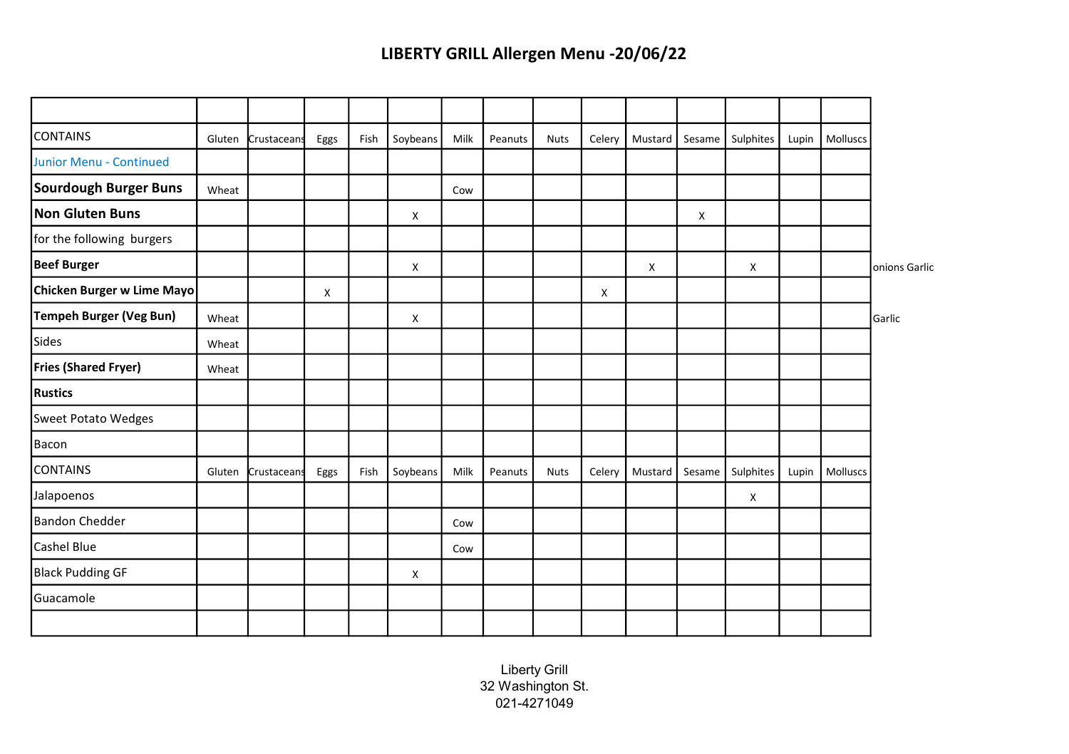| ICONTAINS                   |        | Gluten Crustaceans | Eggs | Fish | Soybeans | Milk | Peanuts | <b>Nuts</b> | Celery | Mustard | Sesame | Sulphites | Lupin | Molluscs |               |
|-----------------------------|--------|--------------------|------|------|----------|------|---------|-------------|--------|---------|--------|-----------|-------|----------|---------------|
| Junior Menu - Continued     |        |                    |      |      |          |      |         |             |        |         |        |           |       |          |               |
| Sourdough Burger Buns       | Wheat  |                    |      |      |          | Cow  |         |             |        |         |        |           |       |          |               |
| Non Gluten Buns             |        |                    |      |      | X        |      |         |             |        |         | X      |           |       |          |               |
| for the following burgers   |        |                    |      |      |          |      |         |             |        |         |        |           |       |          |               |
| <b>Beef Burger</b>          |        |                    |      |      | X        |      |         |             |        | Х       |        | X         |       |          | onions Garlic |
| Chicken Burger w Lime Mayo  |        |                    | X    |      |          |      |         |             | X      |         |        |           |       |          |               |
| Tempeh Burger (Veg Bun)     | Wheat  |                    |      |      | X        |      |         |             |        |         |        |           |       |          | Garlic        |
| Sides                       | Wheat  |                    |      |      |          |      |         |             |        |         |        |           |       |          |               |
| <b>Fries (Shared Fryer)</b> | Wheat  |                    |      |      |          |      |         |             |        |         |        |           |       |          |               |
| <b>Rustics</b>              |        |                    |      |      |          |      |         |             |        |         |        |           |       |          |               |
| Sweet Potato Wedges         |        |                    |      |      |          |      |         |             |        |         |        |           |       |          |               |
| Bacon                       |        |                    |      |      |          |      |         |             |        |         |        |           |       |          |               |
| CONTAINS                    | Gluten | Crustaceans        | Eggs | Fish | Soybeans | Milk | Peanuts | <b>Nuts</b> | Celery | Mustard | Sesame | Sulphites | Lupin | Molluscs |               |
| Jalapoenos                  |        |                    |      |      |          |      |         |             |        |         |        | X         |       |          |               |
| Bandon Chedder              |        |                    |      |      |          | Cow  |         |             |        |         |        |           |       |          |               |
| Cashel Blue                 |        |                    |      |      |          | Cow  |         |             |        |         |        |           |       |          |               |
| <b>Black Pudding GF</b>     |        |                    |      |      | X        |      |         |             |        |         |        |           |       |          |               |
| Guacamole                   |        |                    |      |      |          |      |         |             |        |         |        |           |       |          |               |
|                             |        |                    |      |      |          |      |         |             |        |         |        |           |       |          |               |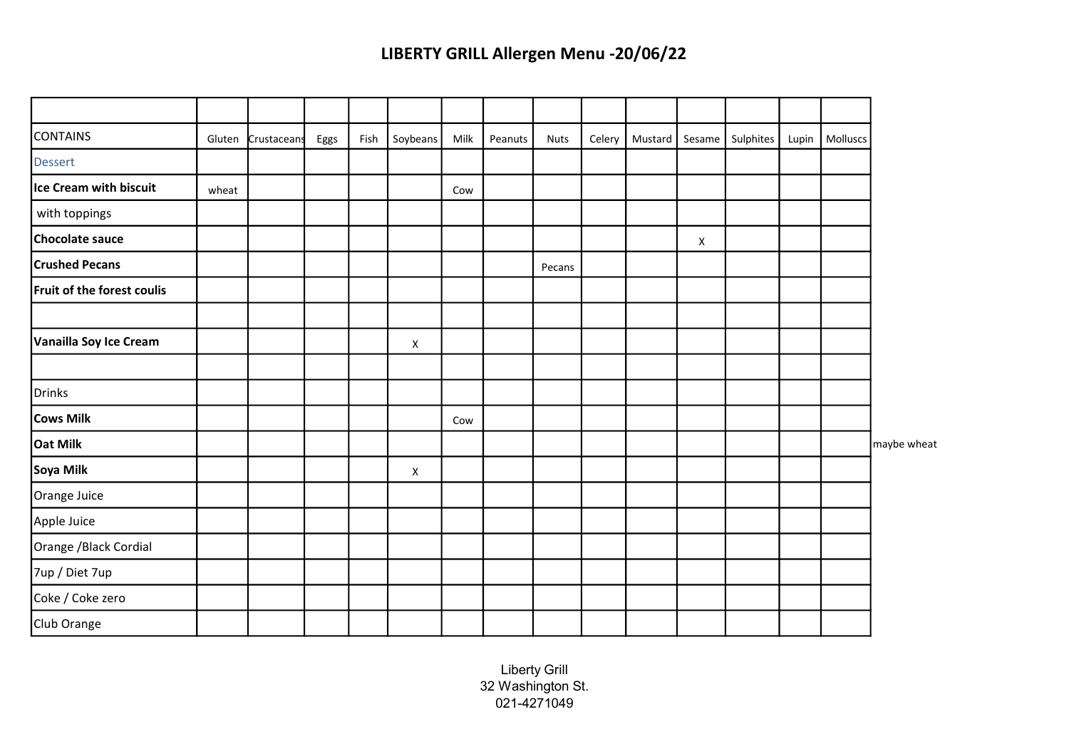| CONTAINS                   |       | Gluten Crustaceans | Eggs | Fish | Soybeans | Milk | Peanuts | <b>Nuts</b> | Celery | Mustard |   | Sesame   Sulphites | Lupin | Molluscs |             |
|----------------------------|-------|--------------------|------|------|----------|------|---------|-------------|--------|---------|---|--------------------|-------|----------|-------------|
| <b>Dessert</b>             |       |                    |      |      |          |      |         |             |        |         |   |                    |       |          |             |
| Ice Cream with biscuit     | wheat |                    |      |      |          | Cow  |         |             |        |         |   |                    |       |          |             |
| with toppings              |       |                    |      |      |          |      |         |             |        |         |   |                    |       |          |             |
| Chocolate sauce            |       |                    |      |      |          |      |         |             |        |         | X |                    |       |          |             |
| <b>Crushed Pecans</b>      |       |                    |      |      |          |      |         | Pecans      |        |         |   |                    |       |          |             |
| Fruit of the forest coulis |       |                    |      |      |          |      |         |             |        |         |   |                    |       |          |             |
|                            |       |                    |      |      |          |      |         |             |        |         |   |                    |       |          |             |
| Vanailla Soy Ice Cream     |       |                    |      |      | X        |      |         |             |        |         |   |                    |       |          |             |
|                            |       |                    |      |      |          |      |         |             |        |         |   |                    |       |          |             |
| Drinks                     |       |                    |      |      |          |      |         |             |        |         |   |                    |       |          |             |
| Cows Milk                  |       |                    |      |      |          | Cow  |         |             |        |         |   |                    |       |          |             |
| Oat Milk                   |       |                    |      |      |          |      |         |             |        |         |   |                    |       |          | maybe wheat |
| Soya Milk                  |       |                    |      |      | X        |      |         |             |        |         |   |                    |       |          |             |
| Orange Juice               |       |                    |      |      |          |      |         |             |        |         |   |                    |       |          |             |
| Apple Juice                |       |                    |      |      |          |      |         |             |        |         |   |                    |       |          |             |
| Orange / Black Cordial     |       |                    |      |      |          |      |         |             |        |         |   |                    |       |          |             |
| 7up / Diet 7up             |       |                    |      |      |          |      |         |             |        |         |   |                    |       |          |             |
| Coke / Coke zero           |       |                    |      |      |          |      |         |             |        |         |   |                    |       |          |             |
| Club Orange                |       |                    |      |      |          |      |         |             |        |         |   |                    |       |          |             |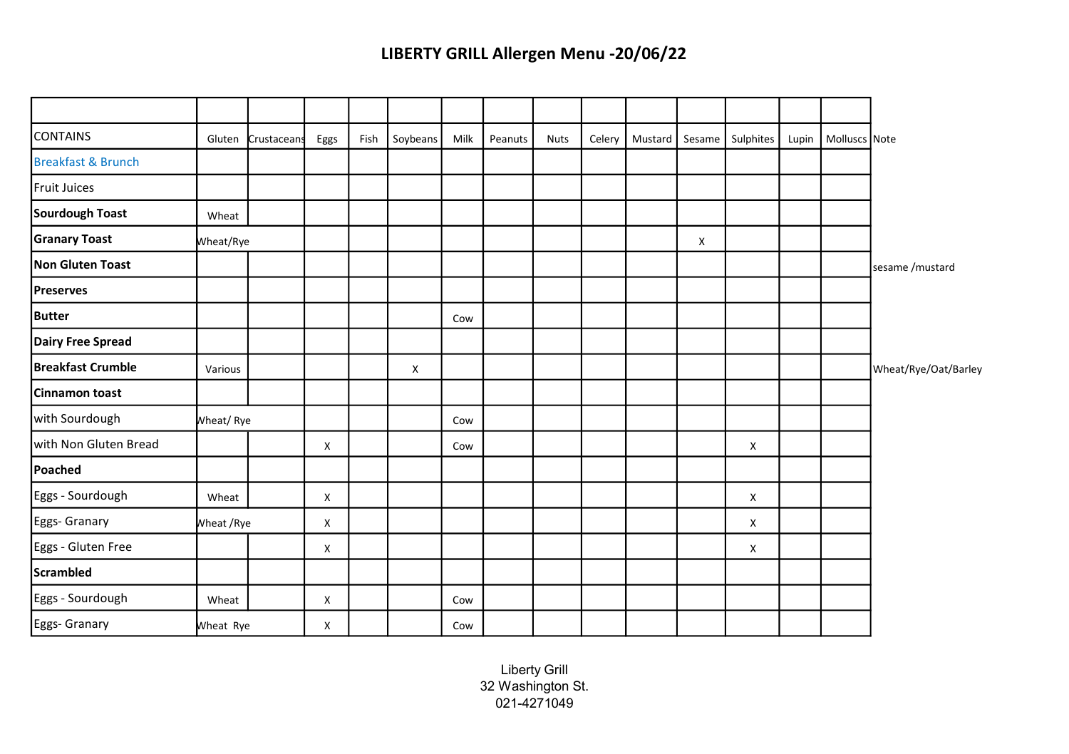| <b>CONTAINS</b>               | Gluten     | Crustaceans | Eggs | Fish | Soybeans | Milk | Peanuts | <b>Nuts</b> | Celery | Mustard | Sesame | Sulphites    | Lupin | Molluscs Note |                      |
|-------------------------------|------------|-------------|------|------|----------|------|---------|-------------|--------|---------|--------|--------------|-------|---------------|----------------------|
| <b>Breakfast &amp; Brunch</b> |            |             |      |      |          |      |         |             |        |         |        |              |       |               |                      |
| <b>Fruit Juices</b>           |            |             |      |      |          |      |         |             |        |         |        |              |       |               |                      |
| Sourdough Toast               | Wheat      |             |      |      |          |      |         |             |        |         |        |              |       |               |                      |
| <b>Granary Toast</b>          | Wheat/Rye  |             |      |      |          |      |         |             |        |         | X      |              |       |               |                      |
| Non Gluten Toast              |            |             |      |      |          |      |         |             |        |         |        |              |       |               | sesame / mustard     |
| <b>Preserves</b>              |            |             |      |      |          |      |         |             |        |         |        |              |       |               |                      |
| Butter                        |            |             |      |      |          | Cow  |         |             |        |         |        |              |       |               |                      |
| Dairy Free Spread             |            |             |      |      |          |      |         |             |        |         |        |              |       |               |                      |
| <b>Breakfast Crumble</b>      | Various    |             |      |      | X        |      |         |             |        |         |        |              |       |               | Wheat/Rye/Oat/Barley |
| Cinnamon toast                |            |             |      |      |          |      |         |             |        |         |        |              |       |               |                      |
| with Sourdough                | Wheat/Rye  |             |      |      |          | Cow  |         |             |        |         |        |              |       |               |                      |
| with Non Gluten Bread         |            |             | X    |      |          | Cow  |         |             |        |         |        | X            |       |               |                      |
| Poached                       |            |             |      |      |          |      |         |             |        |         |        |              |       |               |                      |
| Eggs - Sourdough              | Wheat      |             | X    |      |          |      |         |             |        |         |        | X            |       |               |                      |
| Eggs- Granary                 | Wheat /Rye |             | X    |      |          |      |         |             |        |         |        | $\mathsf{X}$ |       |               |                      |
| Eggs - Gluten Free            |            |             | X    |      |          |      |         |             |        |         |        | X            |       |               |                      |
| Scrambled                     |            |             |      |      |          |      |         |             |        |         |        |              |       |               |                      |
| Eggs - Sourdough              | Wheat      |             | X    |      |          | Cow  |         |             |        |         |        |              |       |               |                      |
| Eggs- Granary                 | Wheat Rye  |             | X    |      |          | Cow  |         |             |        |         |        |              |       |               |                      |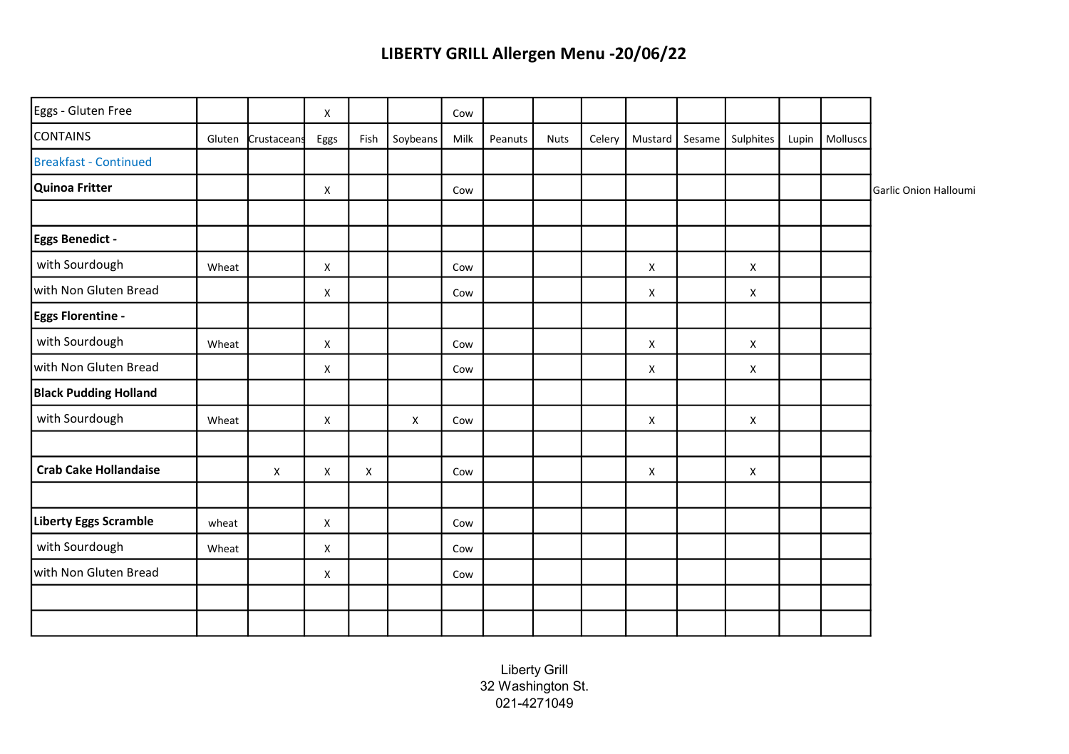| Eggs - Gluten Free           |       |                    | X    |      |          | Cow  |         |             |        |         |        |                  |       |          |                       |
|------------------------------|-------|--------------------|------|------|----------|------|---------|-------------|--------|---------|--------|------------------|-------|----------|-----------------------|
| <b>CONTAINS</b>              |       | Gluten Crustaceans | Eggs | Fish | Soybeans | Milk | Peanuts | <b>Nuts</b> | Celery | Mustard | Sesame | <b>Sulphites</b> | Lupin | Molluscs |                       |
| <b>Breakfast - Continued</b> |       |                    |      |      |          |      |         |             |        |         |        |                  |       |          |                       |
| Quinoa Fritter               |       |                    | X    |      |          | Cow  |         |             |        |         |        |                  |       |          | Garlic Onion Halloumi |
|                              |       |                    |      |      |          |      |         |             |        |         |        |                  |       |          |                       |
| <b>Eggs Benedict -</b>       |       |                    |      |      |          |      |         |             |        |         |        |                  |       |          |                       |
| with Sourdough               | Wheat |                    | X    |      |          | Cow  |         |             |        | X       |        | X                |       |          |                       |
| with Non Gluten Bread        |       |                    | X    |      |          | Cow  |         |             |        | X       |        | X                |       |          |                       |
| <b>Eggs Florentine -</b>     |       |                    |      |      |          |      |         |             |        |         |        |                  |       |          |                       |
| with Sourdough               | Wheat |                    | X    |      |          | Cow  |         |             |        | X       |        | X                |       |          |                       |
| with Non Gluten Bread        |       |                    | X    |      |          | Cow  |         |             |        | X       |        | X                |       |          |                       |
| <b>Black Pudding Holland</b> |       |                    |      |      |          |      |         |             |        |         |        |                  |       |          |                       |
| with Sourdough               | Wheat |                    | X    |      | X        | Cow  |         |             |        | X       |        | X                |       |          |                       |
| <b>Crab Cake Hollandaise</b> |       |                    |      |      |          |      |         |             |        |         |        |                  |       |          |                       |
|                              |       | X                  | X    | X    |          | Cow  |         |             |        | X       |        | X                |       |          |                       |
| <b>Liberty Eggs Scramble</b> | wheat |                    | X    |      |          | Cow  |         |             |        |         |        |                  |       |          |                       |
| with Sourdough               | Wheat |                    | X    |      |          | Cow  |         |             |        |         |        |                  |       |          |                       |
| with Non Gluten Bread        |       |                    | X    |      |          | Cow  |         |             |        |         |        |                  |       |          |                       |
|                              |       |                    |      |      |          |      |         |             |        |         |        |                  |       |          |                       |
|                              |       |                    |      |      |          |      |         |             |        |         |        |                  |       |          |                       |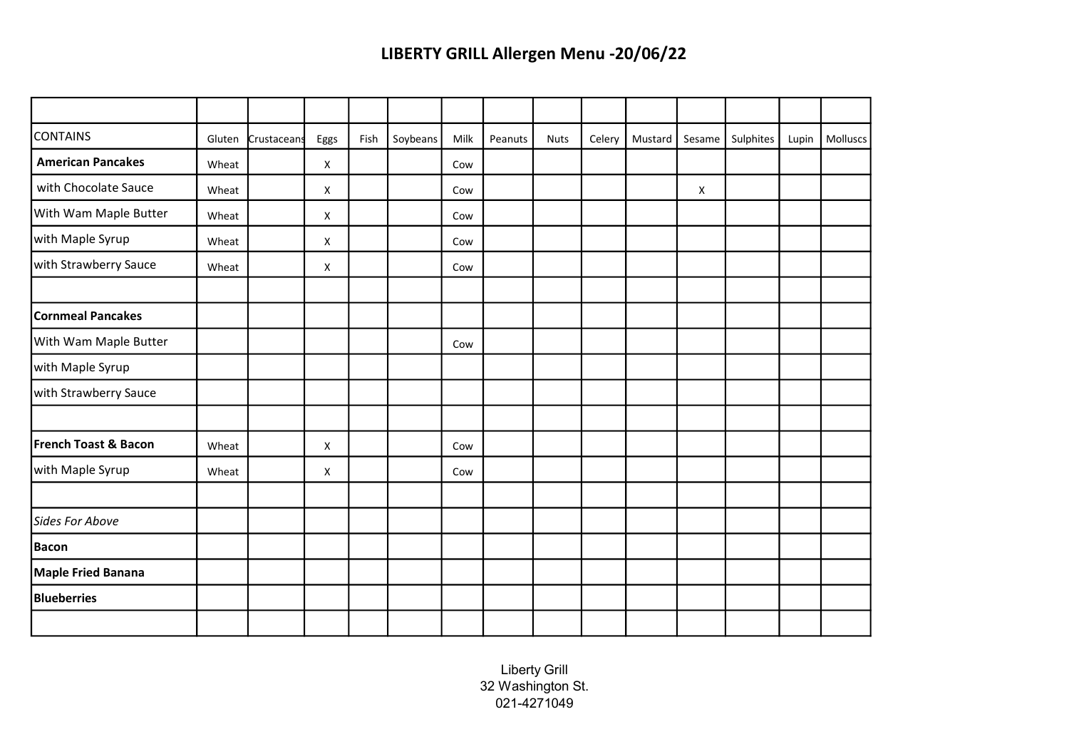| <b>CONTAINS</b>          | Gluten | Crustaceans | Eggs | Fish | Soybeans | Milk | Peanuts | <b>Nuts</b> | Celery | Mustard | Sesame | Sulphites | Lupin | Molluscs |
|--------------------------|--------|-------------|------|------|----------|------|---------|-------------|--------|---------|--------|-----------|-------|----------|
| <b>American Pancakes</b> | Wheat  |             | X    |      |          | Cow  |         |             |        |         |        |           |       |          |
| with Chocolate Sauce     | Wheat  |             | X    |      |          | Cow  |         |             |        |         | X      |           |       |          |
| With Wam Maple Butter    | Wheat  |             | X    |      |          | Cow  |         |             |        |         |        |           |       |          |
| with Maple Syrup         | Wheat  |             | X    |      |          | Cow  |         |             |        |         |        |           |       |          |
| with Strawberry Sauce    | Wheat  |             | X    |      |          | Cow  |         |             |        |         |        |           |       |          |
|                          |        |             |      |      |          |      |         |             |        |         |        |           |       |          |
| Cornmeal Pancakes        |        |             |      |      |          |      |         |             |        |         |        |           |       |          |
| With Wam Maple Butter    |        |             |      |      |          | Cow  |         |             |        |         |        |           |       |          |
| with Maple Syrup         |        |             |      |      |          |      |         |             |        |         |        |           |       |          |
| with Strawberry Sauce    |        |             |      |      |          |      |         |             |        |         |        |           |       |          |
|                          |        |             |      |      |          |      |         |             |        |         |        |           |       |          |
| French Toast & Bacon     | Wheat  |             | X    |      |          | Cow  |         |             |        |         |        |           |       |          |
| with Maple Syrup         | Wheat  |             | X    |      |          | Cow  |         |             |        |         |        |           |       |          |
|                          |        |             |      |      |          |      |         |             |        |         |        |           |       |          |
| <b>Sides For Above</b>   |        |             |      |      |          |      |         |             |        |         |        |           |       |          |
| <b>Bacon</b>             |        |             |      |      |          |      |         |             |        |         |        |           |       |          |
| Maple Fried Banana       |        |             |      |      |          |      |         |             |        |         |        |           |       |          |
| <b>Blueberries</b>       |        |             |      |      |          |      |         |             |        |         |        |           |       |          |
|                          |        |             |      |      |          |      |         |             |        |         |        |           |       |          |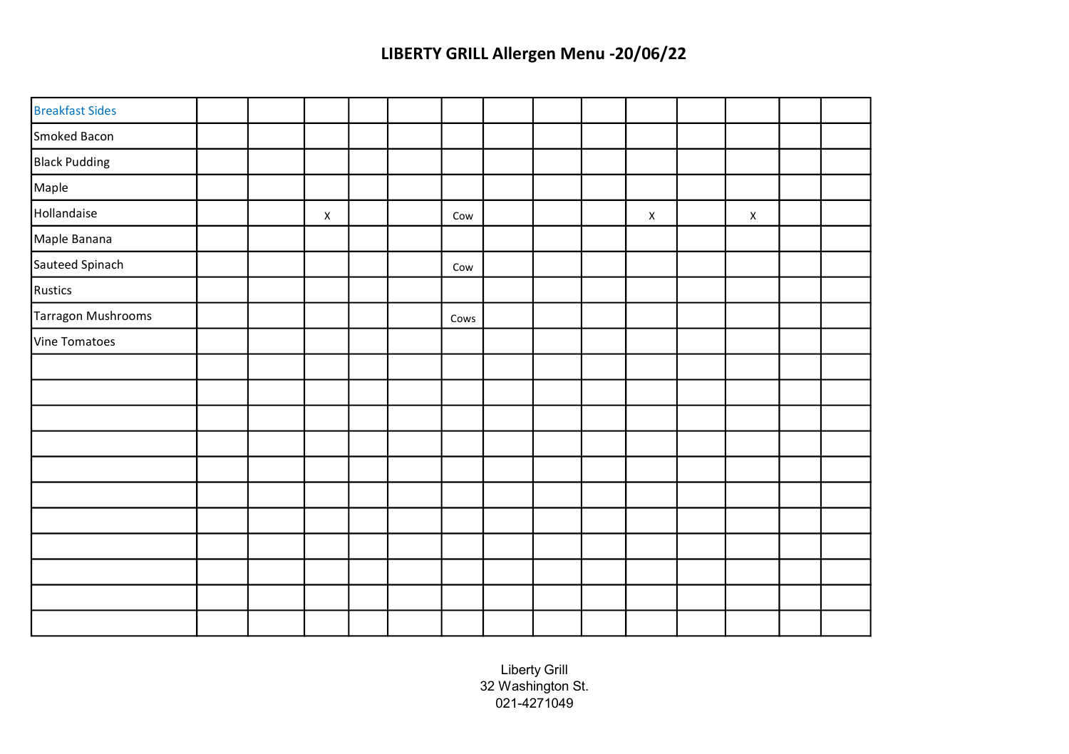| <b>Breakfast Sides</b> |  |                |  |      |  |   |   |  |
|------------------------|--|----------------|--|------|--|---|---|--|
| Smoked Bacon           |  |                |  |      |  |   |   |  |
| <b>Black Pudding</b>   |  |                |  |      |  |   |   |  |
| Maple                  |  |                |  |      |  |   |   |  |
| Hollandaise            |  | $\pmb{\times}$ |  | Cow  |  | X | X |  |
| Maple Banana           |  |                |  |      |  |   |   |  |
| Sauteed Spinach        |  |                |  | Cow  |  |   |   |  |
| Rustics                |  |                |  |      |  |   |   |  |
| Tarragon Mushrooms     |  |                |  | Cows |  |   |   |  |
| Vine Tomatoes          |  |                |  |      |  |   |   |  |
|                        |  |                |  |      |  |   |   |  |
|                        |  |                |  |      |  |   |   |  |
|                        |  |                |  |      |  |   |   |  |
|                        |  |                |  |      |  |   |   |  |
|                        |  |                |  |      |  |   |   |  |
|                        |  |                |  |      |  |   |   |  |
|                        |  |                |  |      |  |   |   |  |
|                        |  |                |  |      |  |   |   |  |
|                        |  |                |  |      |  |   |   |  |
|                        |  |                |  |      |  |   |   |  |
|                        |  |                |  |      |  |   |   |  |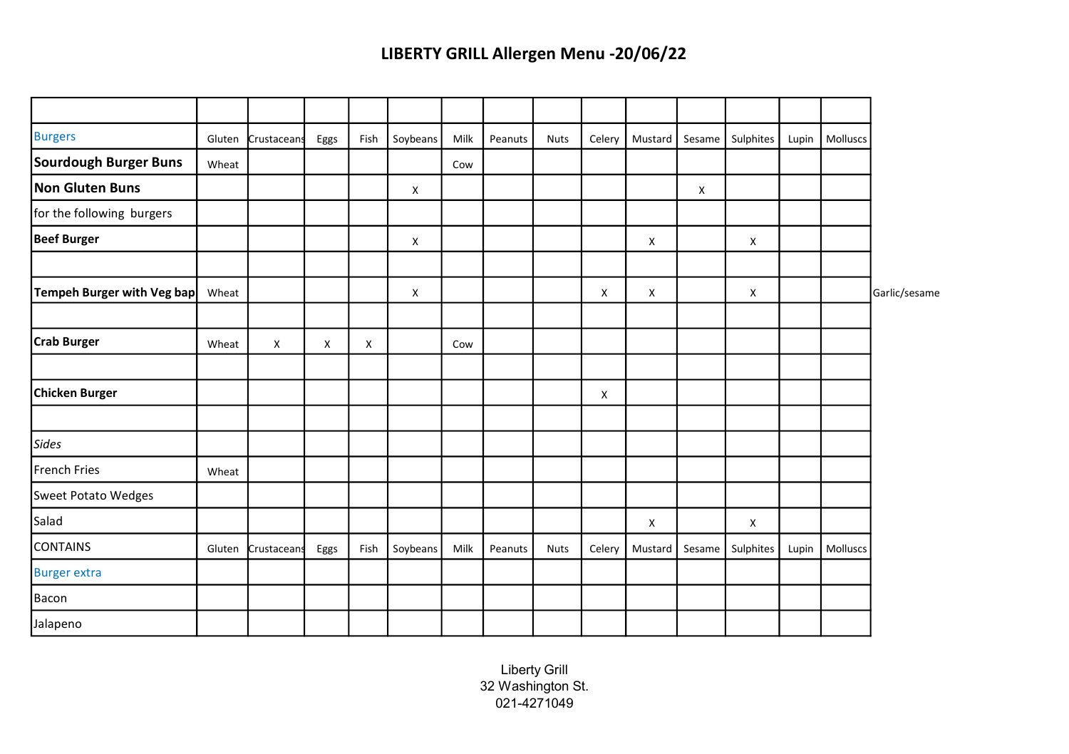| <b>Burgers</b>             | Gluten | Crustaceans | Eggs | Fish | Soybeans | Milk | Peanuts | <b>Nuts</b> | Celery | Mustard | Sesame | Sulphites | Lupin | Molluscs |               |
|----------------------------|--------|-------------|------|------|----------|------|---------|-------------|--------|---------|--------|-----------|-------|----------|---------------|
| Sourdough Burger Buns      | Wheat  |             |      |      |          | Cow  |         |             |        |         |        |           |       |          |               |
| Non Gluten Buns            |        |             |      |      | X        |      |         |             |        |         | X      |           |       |          |               |
| for the following burgers  |        |             |      |      |          |      |         |             |        |         |        |           |       |          |               |
| <b>Beef Burger</b>         |        |             |      |      | X        |      |         |             |        | X       |        | X         |       |          |               |
|                            |        |             |      |      |          |      |         |             |        |         |        |           |       |          |               |
| Tempeh Burger with Veg bap | Wheat  |             |      |      | X        |      |         |             | X      | X       |        | X         |       |          | Garlic/sesame |
|                            |        |             |      |      |          |      |         |             |        |         |        |           |       |          |               |
| Crab Burger                | Wheat  | X           | X    | X    |          | Cow  |         |             |        |         |        |           |       |          |               |
|                            |        |             |      |      |          |      |         |             |        |         |        |           |       |          |               |
| Chicken Burger             |        |             |      |      |          |      |         |             | X      |         |        |           |       |          |               |
|                            |        |             |      |      |          |      |         |             |        |         |        |           |       |          |               |
| Sides                      |        |             |      |      |          |      |         |             |        |         |        |           |       |          |               |
| French Fries               | Wheat  |             |      |      |          |      |         |             |        |         |        |           |       |          |               |
| Sweet Potato Wedges        |        |             |      |      |          |      |         |             |        |         |        |           |       |          |               |
| Salad                      |        |             |      |      |          |      |         |             |        | X       |        | X         |       |          |               |
| CONTAINS                   | Gluten | Crustaceans | Eggs | Fish | Soybeans | Milk | Peanuts | <b>Nuts</b> | Celery | Mustard | Sesame | Sulphites | Lupin | Molluscs |               |
| <b>Burger extra</b>        |        |             |      |      |          |      |         |             |        |         |        |           |       |          |               |
| Bacon                      |        |             |      |      |          |      |         |             |        |         |        |           |       |          |               |
| Jalapeno                   |        |             |      |      |          |      |         |             |        |         |        |           |       |          |               |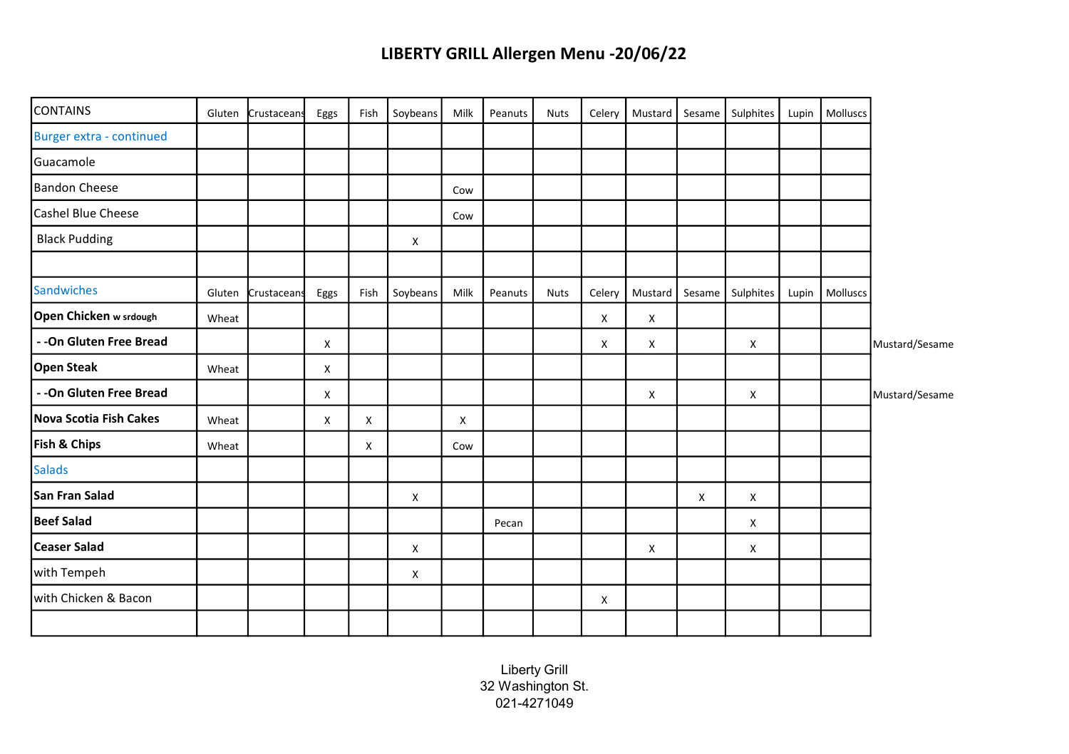| CONTAINS                  | Gluten | Crustaceans | Eggs | Fish | Soybeans | Milk | Peanuts | <b>Nuts</b> | Celery | Mustard | Sesame | Sulphites | Lupin | Molluscs         |                |
|---------------------------|--------|-------------|------|------|----------|------|---------|-------------|--------|---------|--------|-----------|-------|------------------|----------------|
| Burger extra - continued  |        |             |      |      |          |      |         |             |        |         |        |           |       |                  |                |
| <b>I</b> Guacamole        |        |             |      |      |          |      |         |             |        |         |        |           |       |                  |                |
| <b>Bandon Cheese</b>      |        |             |      |      |          | Cow  |         |             |        |         |        |           |       |                  |                |
| <b>Cashel Blue Cheese</b> |        |             |      |      |          | Cow  |         |             |        |         |        |           |       |                  |                |
| <b>Black Pudding</b>      |        |             |      |      | X        |      |         |             |        |         |        |           |       |                  |                |
| <b>Sandwiches</b>         | Gluten | Crustaceans | Eggs | Fish | Soybeans | Milk | Peanuts | <b>Nuts</b> | Celery | Mustard | Sesame | Sulphites |       | Lupin   Molluscs |                |
| Open Chicken w srdough    | Wheat  |             |      |      |          |      |         |             | X      | X       |        |           |       |                  |                |
| - - On Gluten Free Bread  |        |             | X    |      |          |      |         |             | X      | X       |        | X         |       |                  | Mustard/Sesame |
| Open Steak                | Wheat  |             | X    |      |          |      |         |             |        |         |        |           |       |                  |                |
| - - On Gluten Free Bread  |        |             | X    |      |          |      |         |             |        | X       |        | X         |       |                  | Mustard/Sesame |
| Nova Scotia Fish Cakes    | Wheat  |             | X    | Х    |          | X    |         |             |        |         |        |           |       |                  |                |
| Fish & Chips              | Wheat  |             |      | X    |          | Cow  |         |             |        |         |        |           |       |                  |                |
| <b>Salads</b>             |        |             |      |      |          |      |         |             |        |         |        |           |       |                  |                |
| lSan Fran Salad           |        |             |      |      | X        |      |         |             |        |         | X      | X         |       |                  |                |
| Beef Salad                |        |             |      |      |          |      | Pecan   |             |        |         |        | X         |       |                  |                |
| lCeaser Salad             |        |             |      |      | X        |      |         |             |        | X       |        | X         |       |                  |                |
| with Tempeh               |        |             |      |      | X        |      |         |             |        |         |        |           |       |                  |                |
| lwith Chicken & Bacon     |        |             |      |      |          |      |         |             | X      |         |        |           |       |                  |                |
|                           |        |             |      |      |          |      |         |             |        |         |        |           |       |                  |                |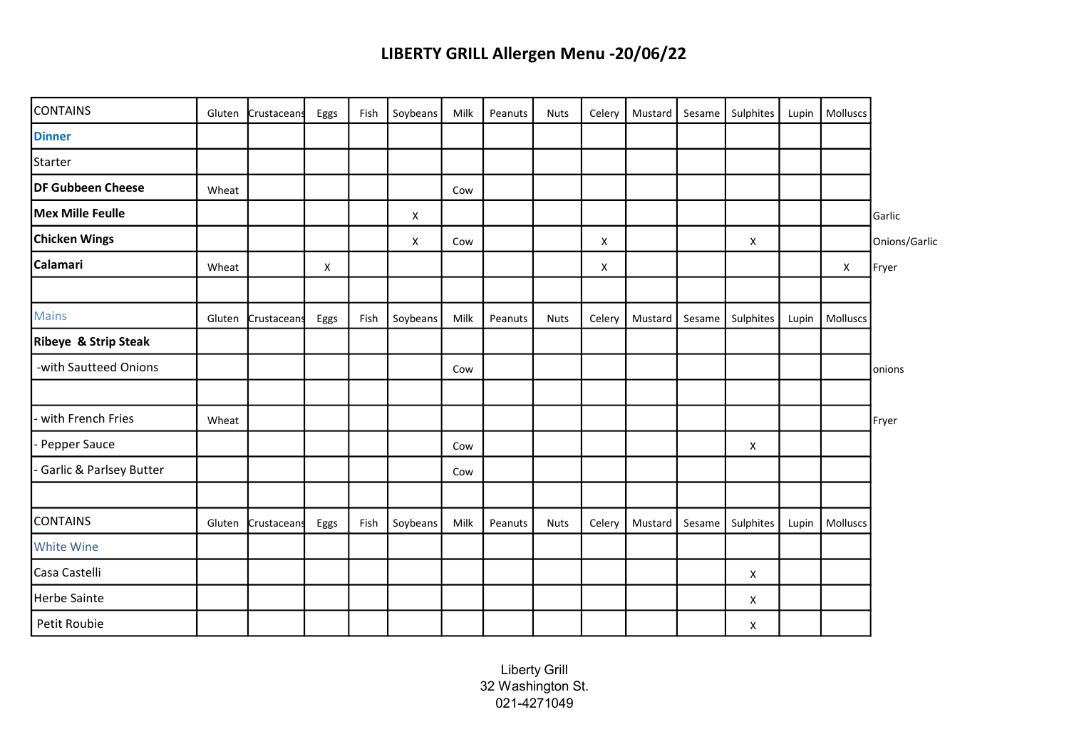| CONTAINS                | Gluten | Crustaceans | Eggs | Fish | Soybeans | Milk | Peanuts | <b>Nuts</b> | Celery | Mustard | Sesame | <b>Sulphites</b> | Lupin | Molluscs |               |
|-------------------------|--------|-------------|------|------|----------|------|---------|-------------|--------|---------|--------|------------------|-------|----------|---------------|
| <b>Dinner</b>           |        |             |      |      |          |      |         |             |        |         |        |                  |       |          |               |
| Starter                 |        |             |      |      |          |      |         |             |        |         |        |                  |       |          |               |
| DF Gubbeen Cheese       | Wheat  |             |      |      |          | Cow  |         |             |        |         |        |                  |       |          |               |
| Mex Mille Feulle        |        |             |      |      | X        |      |         |             |        |         |        |                  |       |          | Garlic        |
| Chicken Wings           |        |             |      |      | X        | Cow  |         |             | x      |         |        | X                |       |          | Onions/Garlic |
| Calamari                | Wheat  |             | X    |      |          |      |         |             | X      |         |        |                  |       | X        | Fryer         |
|                         |        |             |      |      |          |      |         |             |        |         |        |                  |       |          |               |
| <b>Mains</b>            | Gluten | Crustaceans | Eggs | Fish | Soybeans | Milk | Peanuts | <b>Nuts</b> | Celery | Mustard | Sesame | <b>Sulphites</b> | Lupin | Molluscs |               |
| Ribeye & Strip Steak    |        |             |      |      |          |      |         |             |        |         |        |                  |       |          |               |
| -with Sautteed Onions   |        |             |      |      |          | Cow  |         |             |        |         |        |                  |       |          | onions        |
| with French Fries       | Wheat  |             |      |      |          |      |         |             |        |         |        |                  |       |          | Fryer         |
| Pepper Sauce            |        |             |      |      |          | Cow  |         |             |        |         |        | X                |       |          |               |
| Garlic & Parlsey Butter |        |             |      |      |          | Cow  |         |             |        |         |        |                  |       |          |               |
| <b>CONTAINS</b>         |        |             |      |      |          |      |         |             |        |         |        |                  |       |          |               |
| <b>White Wine</b>       | Gluten | Crustaceans | Eggs | Fish | Soybeans | Milk | Peanuts | <b>Nuts</b> | Celery | Mustard | Sesame | Sulphites        | Lupin | Molluscs |               |
|                         |        |             |      |      |          |      |         |             |        |         |        |                  |       |          |               |
| Casa Castelli           |        |             |      |      |          |      |         |             |        |         |        | X                |       |          |               |
| <b>Herbe Sainte</b>     |        |             |      |      |          |      |         |             |        |         |        | X                |       |          |               |
| Petit Roubie            |        |             |      |      |          |      |         |             |        |         |        | x                |       |          |               |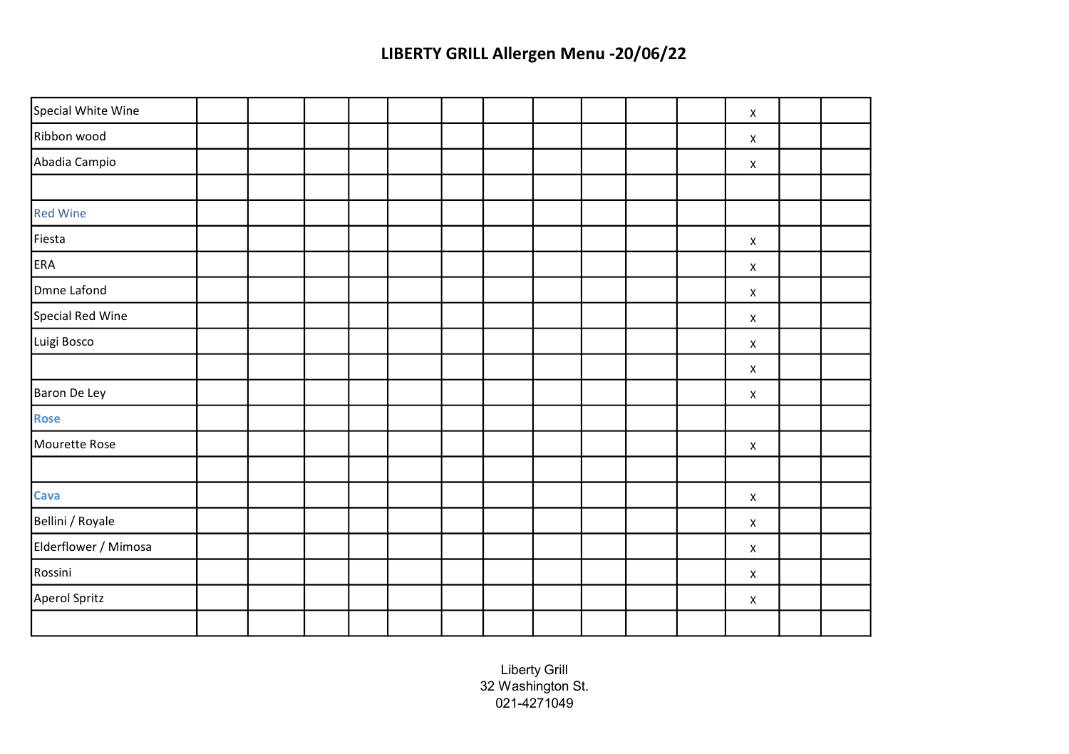| Special White Wine   |  |  |  |  |  | X              |  |
|----------------------|--|--|--|--|--|----------------|--|
| Ribbon wood          |  |  |  |  |  | X              |  |
| Abadia Campio        |  |  |  |  |  | X              |  |
|                      |  |  |  |  |  |                |  |
| <b>Red Wine</b>      |  |  |  |  |  |                |  |
| Fiesta               |  |  |  |  |  | $\pmb{\times}$ |  |
| ERA                  |  |  |  |  |  | X              |  |
| Dmne Lafond          |  |  |  |  |  | X              |  |
| Special Red Wine     |  |  |  |  |  | X              |  |
| Luigi Bosco          |  |  |  |  |  | X              |  |
|                      |  |  |  |  |  | X              |  |
| Baron De Ley         |  |  |  |  |  | X              |  |
| <b>Rose</b>          |  |  |  |  |  |                |  |
| Mourette Rose        |  |  |  |  |  | X              |  |
|                      |  |  |  |  |  |                |  |
| Cava                 |  |  |  |  |  | X              |  |
| Bellini / Royale     |  |  |  |  |  | X              |  |
| Elderflower / Mimosa |  |  |  |  |  | X              |  |
| Rossini              |  |  |  |  |  | X              |  |
| Aperol Spritz        |  |  |  |  |  | X              |  |
|                      |  |  |  |  |  |                |  |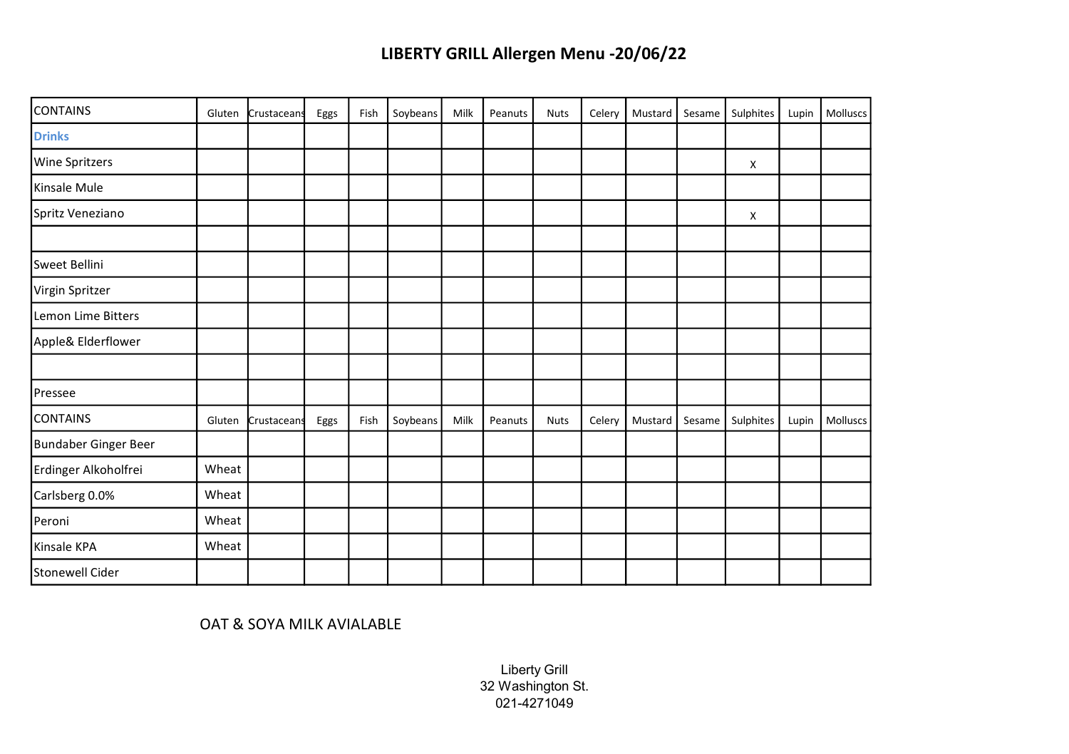| <b>CONTAINS</b>       | Gluten | Crustaceans | Eggs | Fish | Soybeans | Milk | Peanuts | <b>Nuts</b> | Celery | Mustard | Sesame | Sulphites | Lupin | Molluscs |
|-----------------------|--------|-------------|------|------|----------|------|---------|-------------|--------|---------|--------|-----------|-------|----------|
| <b>Drinks</b>         |        |             |      |      |          |      |         |             |        |         |        |           |       |          |
| <b>Wine Spritzers</b> |        |             |      |      |          |      |         |             |        |         |        | X         |       |          |
| Kinsale Mule          |        |             |      |      |          |      |         |             |        |         |        |           |       |          |
| Spritz Veneziano      |        |             |      |      |          |      |         |             |        |         |        | X         |       |          |
|                       |        |             |      |      |          |      |         |             |        |         |        |           |       |          |
| Sweet Bellini         |        |             |      |      |          |      |         |             |        |         |        |           |       |          |
| Virgin Spritzer       |        |             |      |      |          |      |         |             |        |         |        |           |       |          |
| Lemon Lime Bitters    |        |             |      |      |          |      |         |             |        |         |        |           |       |          |
| Apple& Elderflower    |        |             |      |      |          |      |         |             |        |         |        |           |       |          |
|                       |        |             |      |      |          |      |         |             |        |         |        |           |       |          |
| Pressee               |        |             |      |      |          |      |         |             |        |         |        |           |       |          |
| <b>CONTAINS</b>       | Gluten | Crustaceans | Eggs | Fish | Soybeans | Milk | Peanuts | <b>Nuts</b> | Celery | Mustard | Sesame | Sulphites | Lupin | Molluscs |
| Bundaber Ginger Beer  |        |             |      |      |          |      |         |             |        |         |        |           |       |          |
| Erdinger Alkoholfrei  | Wheat  |             |      |      |          |      |         |             |        |         |        |           |       |          |
| Carlsberg 0.0%        | Wheat  |             |      |      |          |      |         |             |        |         |        |           |       |          |
| Peroni                | Wheat  |             |      |      |          |      |         |             |        |         |        |           |       |          |
| Kinsale KPA           | Wheat  |             |      |      |          |      |         |             |        |         |        |           |       |          |
| Stonewell Cider       |        |             |      |      |          |      |         |             |        |         |        |           |       |          |

OAT & SOYA MILK AVIALABLE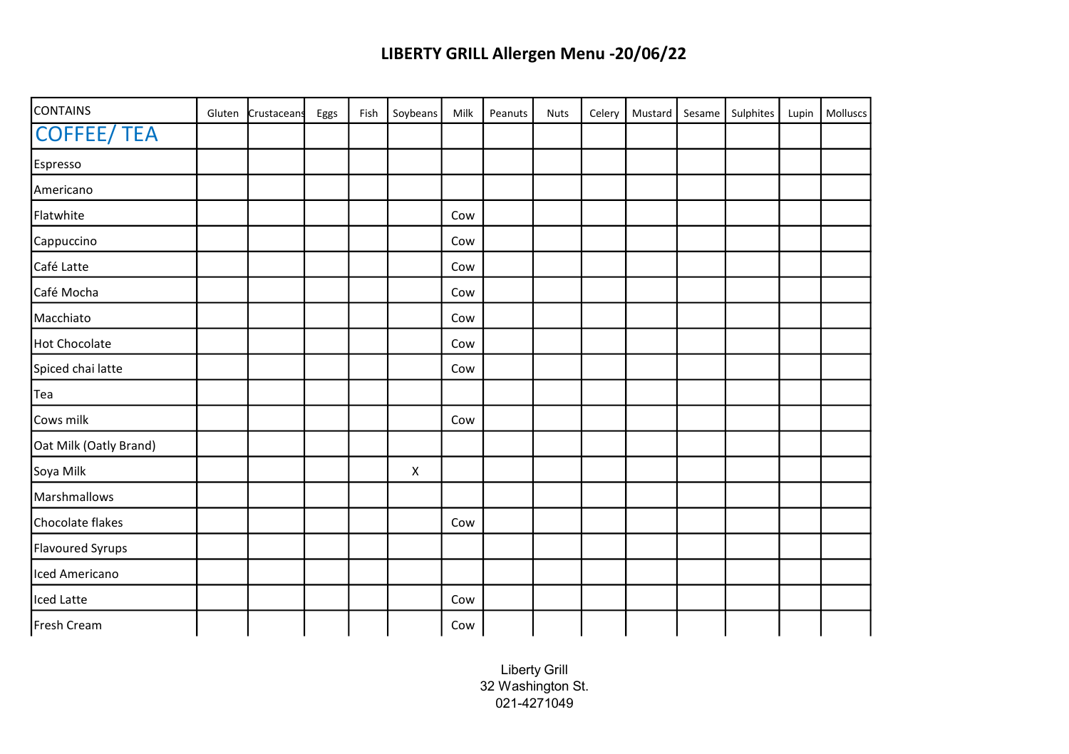| <b>CONTAINS</b>        | Gluten | Crustaceans | Eggs | Fish | Soybeans | Milk | Peanuts | Nuts | Celery | Mustard | Sesame | Sulphites | Lupin | Molluscs |
|------------------------|--------|-------------|------|------|----------|------|---------|------|--------|---------|--------|-----------|-------|----------|
| <b>COFFEE/TEA</b>      |        |             |      |      |          |      |         |      |        |         |        |           |       |          |
| Espresso               |        |             |      |      |          |      |         |      |        |         |        |           |       |          |
| Americano              |        |             |      |      |          |      |         |      |        |         |        |           |       |          |
| Flatwhite              |        |             |      |      |          | Cow  |         |      |        |         |        |           |       |          |
| Cappuccino             |        |             |      |      |          | Cow  |         |      |        |         |        |           |       |          |
| Café Latte             |        |             |      |      |          | Cow  |         |      |        |         |        |           |       |          |
| Café Mocha             |        |             |      |      |          | Cow  |         |      |        |         |        |           |       |          |
| Macchiato              |        |             |      |      |          | Cow  |         |      |        |         |        |           |       |          |
| Hot Chocolate          |        |             |      |      |          | Cow  |         |      |        |         |        |           |       |          |
| Spiced chai latte      |        |             |      |      |          | Cow  |         |      |        |         |        |           |       |          |
| Tea                    |        |             |      |      |          |      |         |      |        |         |        |           |       |          |
| Cows milk              |        |             |      |      |          | Cow  |         |      |        |         |        |           |       |          |
| Oat Milk (Oatly Brand) |        |             |      |      |          |      |         |      |        |         |        |           |       |          |
| Soya Milk              |        |             |      |      | X        |      |         |      |        |         |        |           |       |          |
| Marshmallows           |        |             |      |      |          |      |         |      |        |         |        |           |       |          |
| Chocolate flakes       |        |             |      |      |          | Cow  |         |      |        |         |        |           |       |          |
| Flavoured Syrups       |        |             |      |      |          |      |         |      |        |         |        |           |       |          |
| Iced Americano         |        |             |      |      |          |      |         |      |        |         |        |           |       |          |
| Iced Latte             |        |             |      |      |          | Cow  |         |      |        |         |        |           |       |          |
| Fresh Cream            |        |             |      |      |          | Cow  |         |      |        |         |        |           |       |          |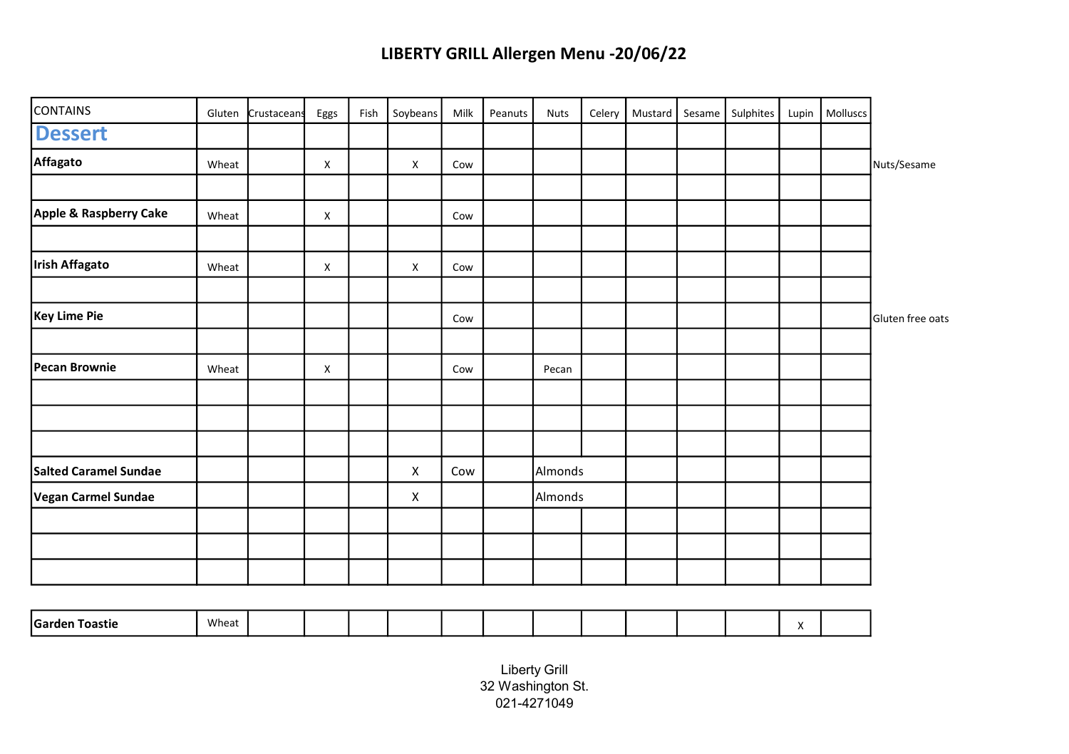| CONTAINS                     | Gluten | Crustaceans | Eggs | Fish | Soybeans | Milk | Peanuts | <b>Nuts</b> | Celery | Mustard | Sesame | <b>Sulphites</b> | Lupin | Molluscs |                  |
|------------------------------|--------|-------------|------|------|----------|------|---------|-------------|--------|---------|--------|------------------|-------|----------|------------------|
| <b>Dessert</b>               |        |             |      |      |          |      |         |             |        |         |        |                  |       |          |                  |
| Affagato                     | Wheat  |             | X    |      | X        | Cow  |         |             |        |         |        |                  |       |          | Nuts/Sesame      |
|                              |        |             |      |      |          |      |         |             |        |         |        |                  |       |          |                  |
| Apple & Raspberry Cake       | Wheat  |             | X    |      |          | Cow  |         |             |        |         |        |                  |       |          |                  |
|                              |        |             |      |      |          |      |         |             |        |         |        |                  |       |          |                  |
| Irish Affagato               | Wheat  |             | X    |      | X        | Cow  |         |             |        |         |        |                  |       |          |                  |
|                              |        |             |      |      |          |      |         |             |        |         |        |                  |       |          |                  |
| Key Lime Pie                 |        |             |      |      |          | Cow  |         |             |        |         |        |                  |       |          | Gluten free oats |
|                              |        |             |      |      |          |      |         |             |        |         |        |                  |       |          |                  |
| Pecan Brownie                | Wheat  |             | X    |      |          | Cow  |         | Pecan       |        |         |        |                  |       |          |                  |
|                              |        |             |      |      |          |      |         |             |        |         |        |                  |       |          |                  |
|                              |        |             |      |      |          |      |         |             |        |         |        |                  |       |          |                  |
| <b>Salted Caramel Sundae</b> |        |             |      |      | X        | Cow  |         | Almonds     |        |         |        |                  |       |          |                  |
| Vegan Carmel Sundae          |        |             |      |      | X        |      |         | Almonds     |        |         |        |                  |       |          |                  |
|                              |        |             |      |      |          |      |         |             |        |         |        |                  |       |          |                  |
|                              |        |             |      |      |          |      |         |             |        |         |        |                  |       |          |                  |
|                              |        |             |      |      |          |      |         |             |        |         |        |                  |       |          |                  |
|                              |        |             |      |      |          |      |         |             |        |         |        |                  |       |          |                  |

| Garc<br>istie<br>.<br>. | Wheat<br>. |  |  |  |  |  |  |  |  |  |  |  |  |  |
|-------------------------|------------|--|--|--|--|--|--|--|--|--|--|--|--|--|
|-------------------------|------------|--|--|--|--|--|--|--|--|--|--|--|--|--|